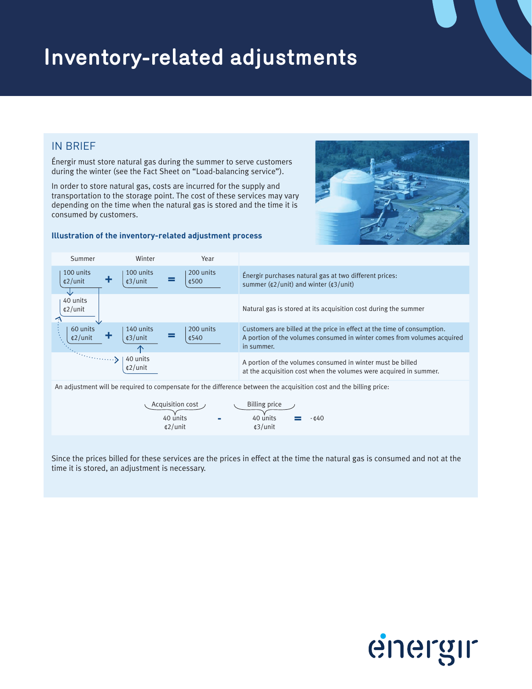# **Inventory-related adjustments**

# IN BRIEF

Énergir must store natural gas during the summer to serve customers during the winter (see the Fact Sheet on "Load-balancing service").

In order to store natural gas, costs are incurred for the supply and transportation to the storage point. The cost of these services may vary depending on the time when the natural gas is stored and the time it is consumed by customers.

## **Illustration of the inventory-related adjustment process**





An adjustment will be required to compensate for the difference between the acquisition cost and the billing price:

| Acquisition cost  | Billing price     |          |                 |                 |
|-------------------|-------------------|----------|-----------------|-----------------|
| 40 units          | -                 | 40 units | =               | - $\epsilon$ 40 |
| $\epsilon$ 2/unit | $\epsilon$ 3/unit | =        | - $\epsilon$ 40 |                 |

Since the prices billed for these services are the prices in effect at the time the natural gas is consumed and not at the time it is stored, an adjustment is necessary.

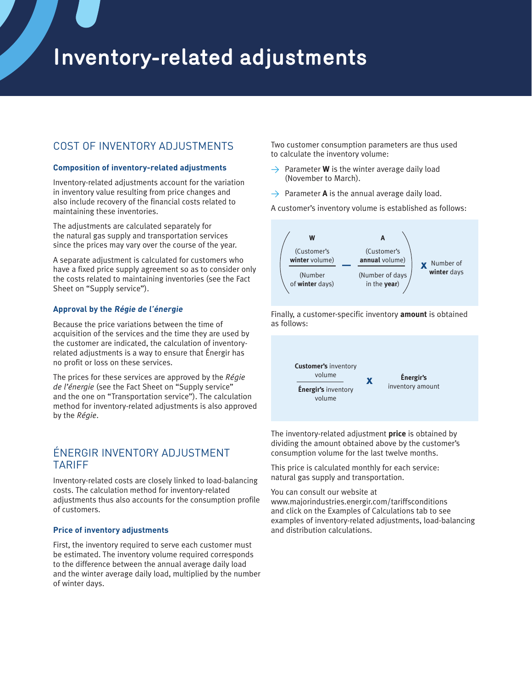# **Inventory-related adjustments**

## COST OF INVENTORY ADJUSTMENTS

### **Composition of inventory-related adjustments**

Inventory-related adjustments account for the variation in inventory value resulting from price changes and also include recovery of the financial costs related to maintaining these inventories.

The adjustments are calculated separately for the natural gas supply and transportation services since the prices may vary over the course of the year.

A separate adjustment is calculated for customers who have a fixed price supply agreement so as to consider only the costs related to maintaining inventories (see the Fact Sheet on "Supply service").

### **Approval by the Régie de l'énergie**

Because the price variations between the time of acquisition of the services and the time they are used by the customer are indicated, the calculation of inventoryrelated adjustments is a way to ensure that Énergir has no profit or loss on these services.

The prices for these services are approved by the *Régie de l'énergie* (see the Fact Sheet on "Supply service" and the one on "Transportation service"). The calculation method for inventory-related adjustments is also approved by the *Régie*.

## ÉNERGIR INVENTORY ADJUSTMENT TARIFF

Inventory-related costs are closely linked to load-balancing costs. The calculation method for inventory-related adjustments thus also accounts for the consumption profile of customers.

#### **Price of inventory adjustments**

First, the inventory required to serve each customer must be estimated. The inventory volume required corresponds to the difference between the annual average daily load and the winter average daily load, multiplied by the number of winter days.

Two customer consumption parameters are thus used to calculate the inventory volume:

- $\rightarrow$  Parameter **W** is the winter average daily load (November to March).
- $\rightarrow$  Parameter **A** is the annual average daily load.

A customer's inventory volume is established as follows:



Finally, a customer-specific inventory **amount** is obtained as follows:



The inventory-related adjustment **price** is obtained by dividing the amount obtained above by the customer's consumption volume for the last twelve months.

This price is calculated monthly for each service: natural gas supply and transportation.

You can consult our website at

www.majorindustries.energir.com/tariffsconditions and click on the Examples of Calculations tab to see examples of inventory-related adjustments, load-balancing and distribution calculations.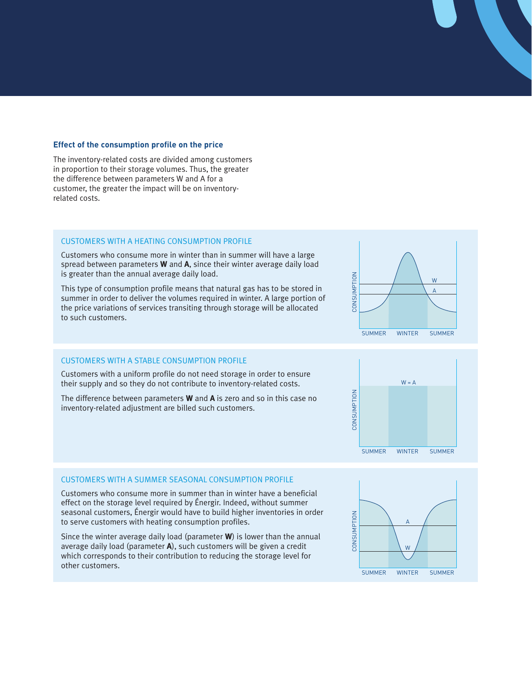#### **Effect of the consumption profile on the price**

The inventory-related costs are divided among customers in proportion to their storage volumes. Thus, the greater the difference between parameters W and A for a customer, the greater the impact will be on inventoryrelated costs.

#### CUSTOMERS WITH A HEATING CONSUMPTION PROFILE

Customers who consume more in winter than in summer will have a large spread between parameters **W** and **A**, since their winter average daily load is greater than the annual average daily load.

This type of consumption profile means that natural gas has to be stored in summer in order to deliver the volumes required in winter. A large portion of the price variations of services transiting through storage will be allocated to such customers.

#### CONSUMPTION CONSUMPTION CONSUMPTION W  $\frac{vv}{2}$ CONSUMPT A  $\overline{A}$  $\overline{a}$  $\overline{a}$ SUMMER SUMMER WINTER WINTER SUMMER SUMMER

#### CUSTOMERS WITH A STABLE CONSUMPTION PROFILE

Customers with a uniform profile do not need storage in order to ensure their supply and so they do not contribute to inventory-related costs.

The difference between parameters **W** and **A** is zero and so in this case no inventory-related adjustment are billed such customers.



#### CUSTOMERS WITH A SUMMER SEASONAL CONSUMPTION PROFILE

Customers who consume more in summer than in winter have a beneficial effect on the storage level required by Énergir. Indeed, without summer seasonal customers, Énergir would have to build higher inventories in order to serve customers with heating consumption profiles.

Since the winter average daily load (parameter **W**) is lower than the annual average daily load (parameter **A**), such customers will be given a credit which corresponds to their contribution to reducing the storage level for other customers.

![](_page_2_Figure_13.jpeg)